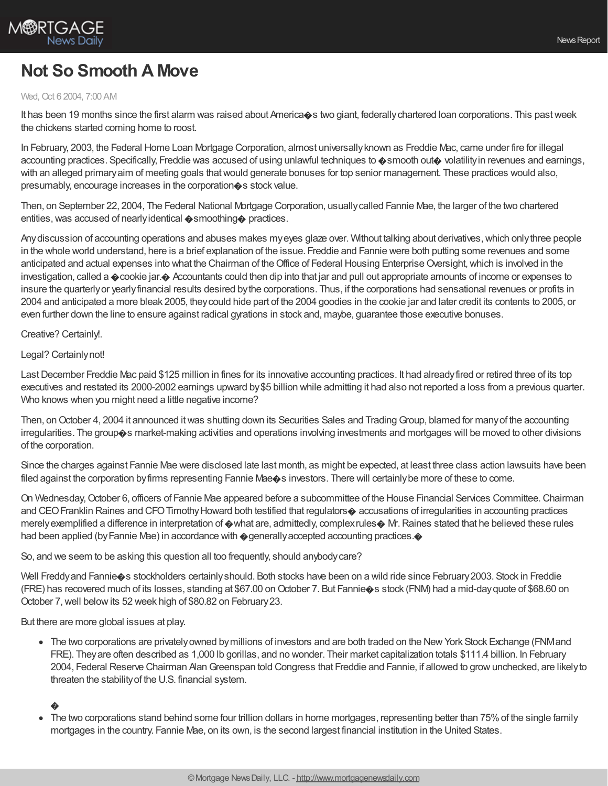

# **Not So Smooth A Move**

#### Wed, Oct 6 2004, 7:00 AM

It has been 19 months since the first alarm was raised about America $\circ$ s two giant, federally chartered loan corporations. This past week the chickens started coming home to roost.

In February, 2003, the Federal Home Loan Mortgage Corporation, almost universallyknown as Freddie Mac, came under fire for illegal accounting practices. Specifically, Freddie was accused of using unlawful techniques to  $\bullet$  smooth out $\bullet$  volatility in revenues and earnings, with an alleged primary aim of meeting goals that would generate bonuses for top senior management. These practices would also, presumably, encourage increases in the corporation�s stock value.

Then, on September 22, 2004, The Federal National Mortgage Corporation, usuallycalled Fannie Mae, the larger of the two chartered entities, was accused of nearly identical  $\diamond$  smoothing $\diamond$  practices.

Any discussion of accounting operations and abuses makes my eyes glaze over. Without talking about derivatives, which only three people in the whole world understand, here is a brief explanation of the issue. Freddie and Fannie were both putting some revenues and some anticipated and actual expenses into what the Chairman of theOffice of Federal Housing EnterpriseOversight,which is involved in the investigation, called a �cookie jar.� Accountants could then dip into that jar and pull out appropriate amounts of income or expenses to insure the quarterlyor yearlyfinancial results desired bythe corporations. Thus, if the corporations had sensational revenues or profits in 2004 and anticipated a more bleak 2005, theycould hide part of the 2004 goodies in the cookie jar and later credit its contents to 2005, or even further down the line to ensure against radical gyrations in stock and, maybe, guarantee those executive bonuses.

## Creative? Certainly!.

## Legal? Certainlynot!

Last December Freddie Mac paid \$125 million in fines for its innovative accounting practices. It had already fired or retired three of its top executives and restated its 2000-2002 earnings upward by\$5 billion while admitting it had also not reported a loss from a previous quarter. Who knows when you might need a little negative income?

Then, on October 4, 2004 it announced it was shutting down its Securities Sales and Trading Group, blamed for many of the accounting irregularities. The group�s market-making activities and operations involving investments and mortgages will be moved to other divisions of the corporation.

Since the charges against Fannie Mae were disclosed late last month, as might be expected, at least three class action lawsuits have been filed against the corporation by firms representing Fannie Mae $\circledast$ s investors. There will certainly be more of these to come.

On Wednesday,October 6, officers of Fannie Mae appeared before a subcommittee of the House Financial Services Committee.Chairman and CEO Franklin Raines and CFO Timothy Howard both testified that regulators  $\bullet$  accusations of irregularities in accounting practices merelyexemplified a difference in interpretation of �what are, admittedly, complexrules� Mr.Raines stated that he believed these rules had been applied (by Fannie Mae) in accordance with  $\bullet$  generally accepted accounting practices. $\bullet$ 

So, and we seem to be asking this question all too frequently, should anybodycare?

Well Freddy and Fannie  $\circ$ s stockholders certainly should. Both stocks have been on a wild ride since February 2003. Stock in Freddie (FRE) has recovered much of its losses, standing at \$67.00 onOctober 7. But Fannie�s stock (FNM) had a mid-dayquote of \$68.60 on October 7,well belowits 52 week high of \$80.82 on February23.

But there are more global issues at play.

• The two corporations are privatelyowned by millions of investors and are both traded on the New York Stock Exchange (FNMand FRE). Theyare often described as 1,000 lb gorillas, and no wonder. Their market capitalization totals \$111.4 billion. In February 2004, Federal Reserve Chairman AlanGreenspan told Congress that Freddie and Fannie, if allowed to growunchecked, are likelyto threaten the stabilityof the U.S. financial system.

# �

The two corporations stand behind some four trillion dollars in home mortgages, representing better than 75%of the single family mortgages in the country. Fannie Mae, on its own, is the second largest financial institution in the United States.